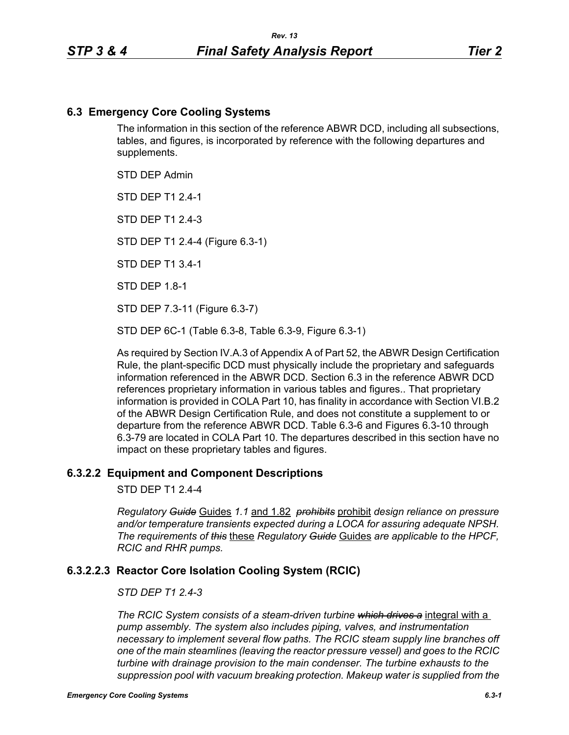### **6.3 Emergency Core Cooling Systems**

The information in this section of the reference ABWR DCD, including all subsections, tables, and figures, is incorporated by reference with the following departures and supplements.

STD DEP Admin

STD DEP T1 2.4-1

STD DFP T1 2 4-3

STD DEP T1 2.4-4 (Figure 6.3-1)

STD DEP T1 3.4-1

STD DEP 1.8-1

STD DEP 7.3-11 (Figure 6.3-7)

STD DEP 6C-1 (Table 6.3-8, Table 6.3-9, Figure 6.3-1)

As required by Section IV.A.3 of Appendix A of Part 52, the ABWR Design Certification Rule, the plant-specific DCD must physically include the proprietary and safeguards information referenced in the ABWR DCD. Section 6.3 in the reference ABWR DCD references proprietary information in various tables and figures.. That proprietary information is provided in COLA Part 10, has finality in accordance with Section VI.B.2 of the ABWR Design Certification Rule, and does not constitute a supplement to or departure from the reference ABWR DCD. Table 6.3-6 and Figures 6.3-10 through 6.3-79 are located in COLA Part 10. The departures described in this section have no impact on these proprietary tables and figures.

### **6.3.2.2 Equipment and Component Descriptions**

STD DEP T1 2.4-4

*Regulatory Guide* Guides *1.1* and 1.82 *prohibits* prohibit *design reliance on pressure and/or temperature transients expected during a LOCA for assuring adequate NPSH. The requirements of this* these *Regulatory Guide* Guides *are applicable to the HPCF, RCIC and RHR pumps.*

# **6.3.2.2.3 Reactor Core Isolation Cooling System (RCIC)**

#### *STD DEP T1 2.4-3*

*The RCIC System consists of a steam-driven turbine which drives a* integral with a *pump assembly. The system also includes piping, valves, and instrumentation necessary to implement several flow paths. The RCIC steam supply line branches off one of the main steamlines (leaving the reactor pressure vessel) and goes to the RCIC turbine with drainage provision to the main condenser. The turbine exhausts to the suppression pool with vacuum breaking protection. Makeup water is supplied from the*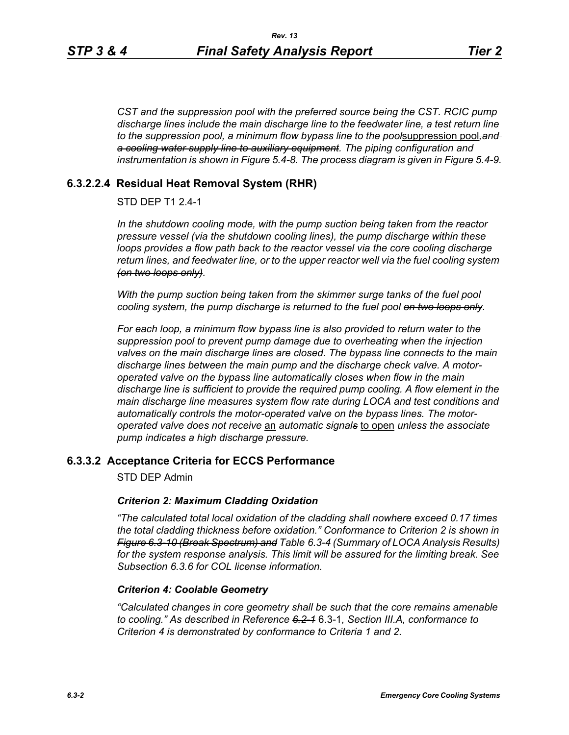*CST and the suppression pool with the preferred source being the CST. RCIC pump discharge lines include the main discharge line to the feedwater line, a test return line to the suppression pool, a minimum flow bypass line to the pool*suppression pool*,and a cooling water supply line to auxiliary equipment. The piping configuration and instrumentation is shown in Figure 5.4-8. The process diagram is given in Figure 5.4-9.*

### **6.3.2.2.4 Residual Heat Removal System (RHR)**

### STD DEP T1 2.4-1

*In the shutdown cooling mode, with the pump suction being taken from the reactor pressure vessel (via the shutdown cooling lines), the pump discharge within these loops provides a flow path back to the reactor vessel via the core cooling discharge return lines, and feedwater line, or to the upper reactor well via the fuel cooling system (on two loops only).*

*With the pump suction being taken from the skimmer surge tanks of the fuel pool cooling system, the pump discharge is returned to the fuel pool on two loops only.*

*For each loop, a minimum flow bypass line is also provided to return water to the suppression pool to prevent pump damage due to overheating when the injection valves on the main discharge lines are closed. The bypass line connects to the main discharge lines between the main pump and the discharge check valve. A motoroperated valve on the bypass line automatically closes when flow in the main discharge line is sufficient to provide the required pump cooling. A flow element in the main discharge line measures system flow rate during LOCA and test conditions and automatically controls the motor-operated valve on the bypass lines. The motoroperated valve does not receive* an *automatic signals* to open *unless the associate pump indicates a high discharge pressure.*

### **6.3.3.2 Acceptance Criteria for ECCS Performance**

STD DEP Admin

#### *Criterion 2: Maximum Cladding Oxidation*

*"The calculated total local oxidation of the cladding shall nowhere exceed 0.17 times the total cladding thickness before oxidation." Conformance to Criterion 2 is shown in Figure 6.3-10 (Break Spectrum) and Table 6.3-4 (Summary of LOCA Analysis Results) for the system response analysis. This limit will be assured for the limiting break. See Subsection [6.3.6](#page-2-0) for COL license information.*

#### *Criterion 4: Coolable Geometry*

*"Calculated changes in core geometry shall be such that the core remains amenable to cooling." As described in Reference 6.2-1* 6.3-1*, Section III.A, conformance to Criterion 4 is demonstrated by conformance to Criteria 1 and 2.*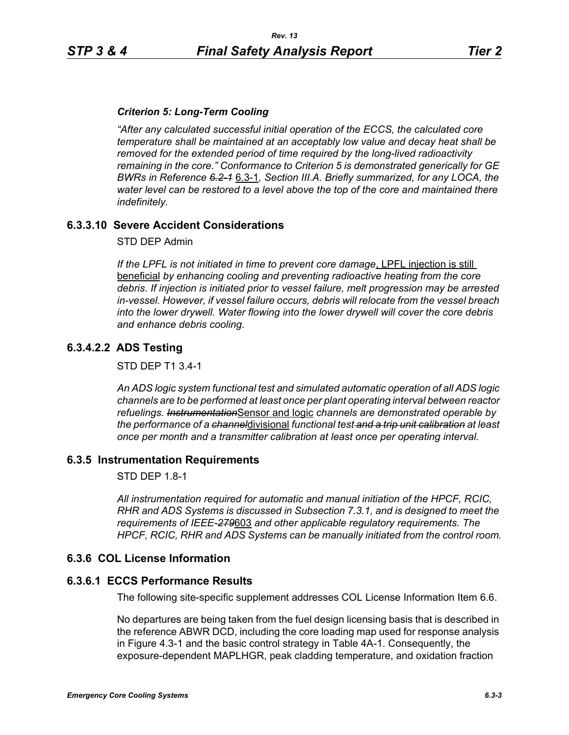### *Criterion 5: Long-Term Cooling*

*"After any calculated successful initial operation of the ECCS, the calculated core temperature shall be maintained at an acceptably low value and decay heat shall be removed for the extended period of time required by the long-lived radioactivity remaining in the core." Conformance to Criterion 5 is demonstrated generically for GE BWRs in Reference 6.2-1* 6.3-1*, Section III.A. Briefly summarized, for any LOCA, the water level can be restored to a level above the top of the core and maintained there indefinitely.*

# **6.3.3.10 Severe Accident Considerations**

STD DEP Admin

*If the LPFL is not initiated in time to prevent core damage*, LPFL injection is still beneficial *by enhancing cooling and preventing radioactive heating from the core debris. If injection is initiated prior to vessel failure, melt progression may be arrested in-vessel. However, if vessel failure occurs, debris will relocate from the vessel breach into the lower drywell. Water flowing into the lower drywell will cover the core debris and enhance debris cooling.*

# **6.3.4.2.2 ADS Testing**

STD DEP T1 3.4-1

*An ADS logic system functional test and simulated automatic operation of all ADS logic channels are to be performed at least once per plant operating interval between reactor refuelings. Instrumentation*Sensor and logic *channels are demonstrated operable by the performance of a channel*divisional *functional test and a trip unit calibration at least once per month and a transmitter calibration at least once per operating interval.*

### **6.3.5 Instrumentation Requirements**

STD DEP 1.8-1

*All instrumentation required for automatic and manual initiation of the HPCF, RCIC, RHR and ADS Systems is discussed in Subsection 7.3.1, and is designed to meet the requirements of IEEE-279*603 *and other applicable regulatory requirements. The HPCF, RCIC, RHR and ADS Systems can be manually initiated from the control room.*

### <span id="page-2-0"></span>**6.3.6 COL License Information**

### **6.3.6.1 ECCS Performance Results**

The following site-specific supplement addresses COL License Information Item 6.6.

No departures are being taken from the fuel design licensing basis that is described in the reference ABWR DCD, including the core loading map used for response analysis in Figure 4.3-1 and the basic control strategy in Table 4A-1. Consequently, the exposure-dependent MAPLHGR, peak cladding temperature, and oxidation fraction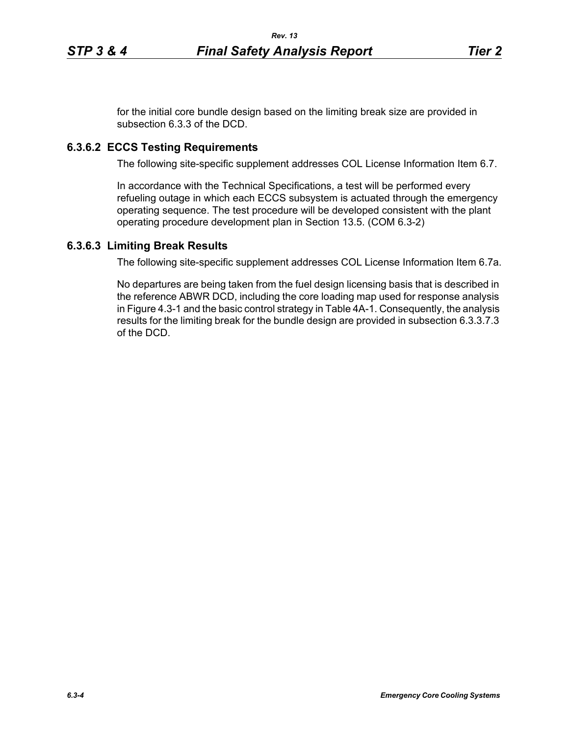for the initial core bundle design based on the limiting break size are provided in subsection 6.3.3 of the DCD.

# **6.3.6.2 ECCS Testing Requirements**

The following site-specific supplement addresses COL License Information Item 6.7.

In accordance with the Technical Specifications, a test will be performed every refueling outage in which each ECCS subsystem is actuated through the emergency operating sequence. The test procedure will be developed consistent with the plant operating procedure development plan in Section 13.5. (COM 6.3-2)

# **6.3.6.3 Limiting Break Results**

The following site-specific supplement addresses COL License Information Item 6.7a.

No departures are being taken from the fuel design licensing basis that is described in the reference ABWR DCD, including the core loading map used for response analysis in Figure 4.3-1 and the basic control strategy in Table 4A-1. Consequently, the analysis results for the limiting break for the bundle design are provided in subsection 6.3.3.7.3 of the DCD.